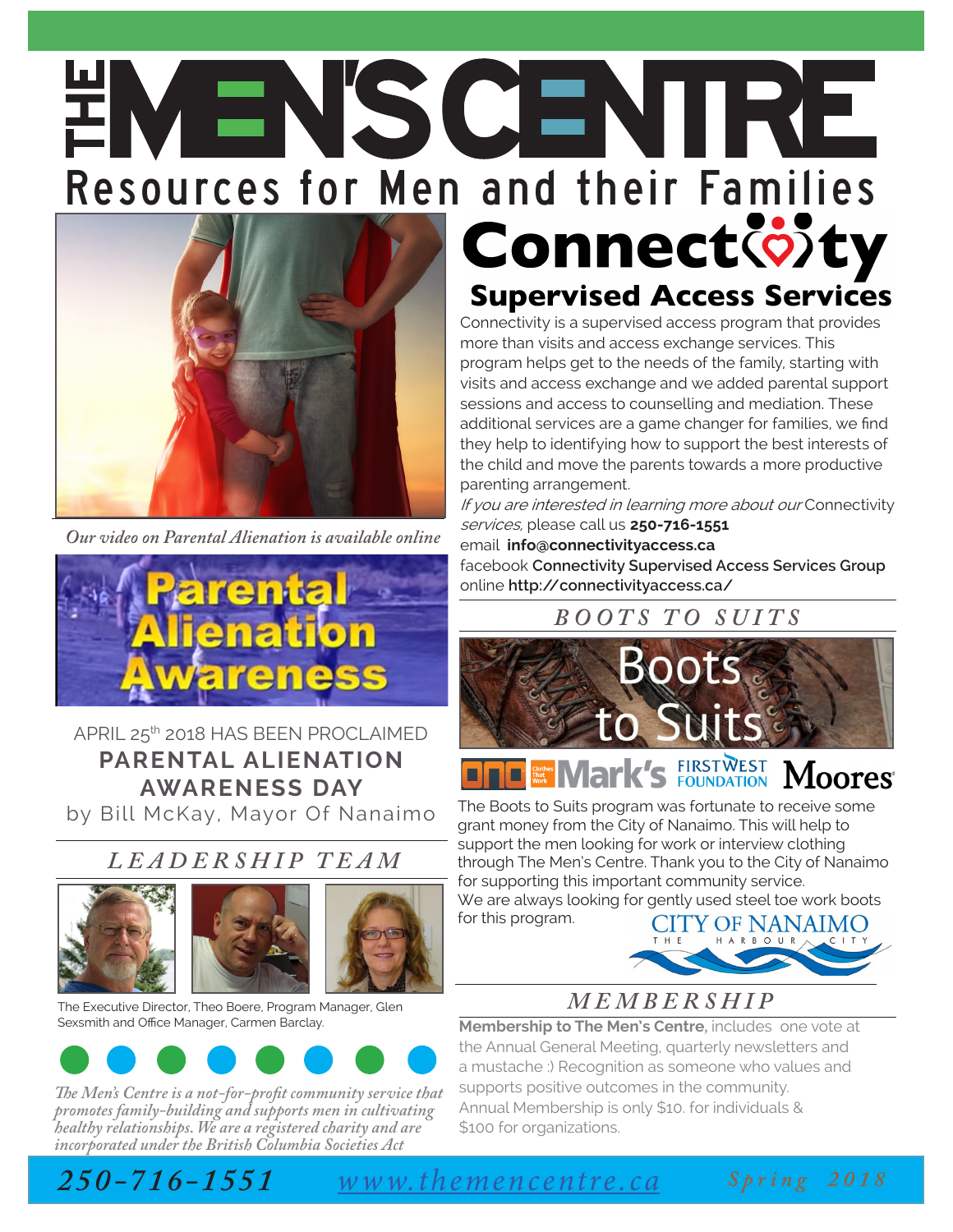# **ENEWSCEMPE**<br>Resources for Men and their Families **Connect** of ty



*Our video on Parental Alienation is available online* 



APRIL 25th 2018 HAS BEEN PROCLAIMED **PARENTAL ALIENATION AWARENESS DAY**

by Bill McKay, Mayor Of Nanaimo

### *LEADERSHIP TEAM*



The Executive Director, Theo Boere, Program Manager, Glen Sexsmith and Office Manager, Carmen Barclay.



*The Men's Centre is a not-for-profit community service that promotes family-building and supports men in cultivating healthy relationships. We are a registered charity and are incorporated under the British Columbia Societies Act*

# **Supervised Access Services**

Connectivity is a supervised access program that provides more than visits and access exchange services. This program helps get to the needs of the family, starting with visits and access exchange and we added parental support sessions and access to counselling and mediation. These additional services are a game changer for families, we find they help to identifying how to support the best interests of the child and move the parents towards a more productive parenting arrangement.

If you are interested in learning more about our Connectivity services, please call us **250-716-1551**

email **info@connectivityaccess.ca**

facebook **Connectivity Supervised Access Services Group** online **http://connectivityaccess.ca/**

### *B O O T S T O S U I T S*



#### **K's FIRSTWEST Moores**  $\blacksquare$

The Boots to Suits program was fortunate to receive some grant money from the City of Nanaimo. This will help to support the men looking for work or interview clothing through The Men's Centre. Thank you to the City of Nanaimo for supporting this important community service. We are always looking for gently used steel toe work boots

for this program. HARBOUR



## *M E M B E R S H I P*

**Membership to The Men's Centre***,* includes one vote at the Annual General Meeting, quarterly newsletters and a mustache :) Recognition as someone who values and supports positive outcomes in the community. Annual Membership is only \$10. for individuals & \$100 for organizations.

*250-716-1551 www.themencentre.ca*